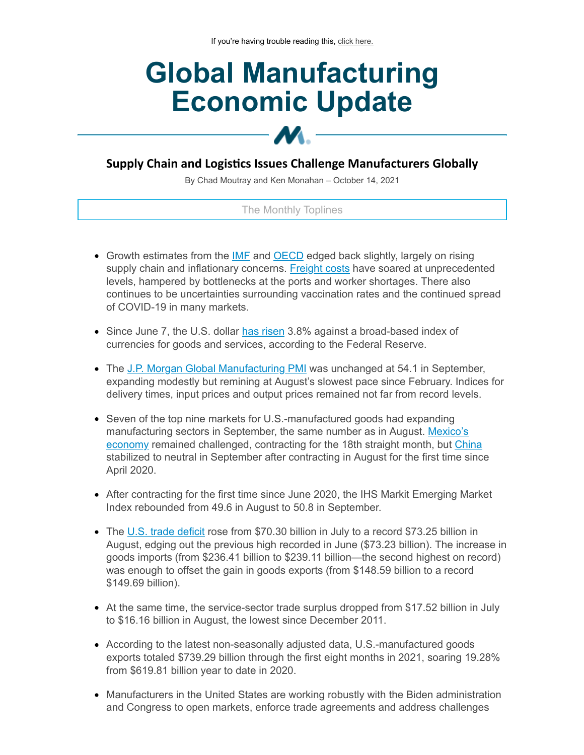# **Global Manufacturing Economic Update**

# **Supply Chain and Logistics Issues Challenge Manufacturers Globally**

M.

By Chad Moutray and Ken Monahan – October 14, 2021

# The Monthly Toplines

- Growth estimates from the **[IMF](https://click.email.nam.org/?qs=bcdf478ca9f190b15626d902b1da019bff2833e76dcb95c053c5ae6f8e0110f111d1dfe400a35da3b16a8df180e45081f9b1b14b0e9bb96f)** and **[OECD](https://click.email.nam.org/?qs=bcdf478ca9f190b12bfbc56f9235abd25c2b52eecdccdd0f4983ea44f2b5b0d213e0fff177ffbf360dc82c8088bc6872ec2b903ba6706879)** edged back slightly, largely on rising supply chain and inflationary concerns. [Freight](https://click.email.nam.org/?qs=bcdf478ca9f190b1660c5cc6e362c5a024ccf30f8dab7442224c161097fabafa3272dc7b5b9f20ee4f78892e7caa63ad4a7ef6049a805a5f) costs have soared at unprecedented levels, hampered by bottlenecks at the ports and worker shortages. There also continues to be uncertainties surrounding vaccination rates and the continued spread of COVID-19 in many markets.
- Since June 7, the U.S. dollar has [risen](https://click.email.nam.org/?qs=bcdf478ca9f190b199ed25df9c35a89c09eb234e5eba72ad59c139d68e004cdc619b107d4d1cba025a1dfe4aa5428da49ddde9ebcd8a0398) 3.8% against a broad-based index of currencies for goods and services, according to the Federal Reserve.
- The J.P. Morgan Global [Manufacturing](https://click.email.nam.org/?qs=bcdf478ca9f190b150d4dab87f3c63846bd5ae35737208037db241341cd99d99cdf0431ff45eded66f03bd57217dc6cd2c8d1b1fe941325d) PMI was unchanged at 54.1 in September, expanding modestly but remining at August's slowest pace since February. Indices for delivery times, input prices and output prices remained not far from record levels.
- Seven of the top nine markets for U.S.-manufactured goods had expanding [manufacturing](https://click.email.nam.org/?qs=bcdf478ca9f190b1493f758603c61e2648865a8f19afcfb14154d403ed9adf868c374335909708318f20966e0cbc9968ec1098d504b494ec) sectors in September, the same number as in August. Mexico's economy remained challenged, contracting for the 18th straight month, but [China](https://click.email.nam.org/?qs=bcdf478ca9f190b1864516e030d75e186ead107e1e55ded4873e2b0ae34bbc11d77d1014a2b33051eefc7d4fc06cadf4a7f7c25c7ca1c8e6) stabilized to neutral in September after contracting in August for the first time since April 2020.
- After contracting for the first time since June 2020, the IHS Markit Emerging Market Index rebounded from 49.6 in August to 50.8 in September.
- The U.S. trade [deficit](https://click.email.nam.org/?qs=bcdf478ca9f190b1a60449ce6e5b2de912c86002cd68dd08de68362f0cdbc568ffd3013b7a4fff9299141f3cd4d98b1106b6af3ae342b176) rose from \$70.30 billion in July to a record \$73.25 billion in August, edging out the previous high recorded in June (\$73.23 billion). The increase in goods imports (from \$236.41 billion to \$239.11 billion—the second highest on record) was enough to offset the gain in goods exports (from \$148.59 billion to a record \$149.69 billion).
- At the same time, the service-sector trade surplus dropped from \$17.52 billion in July to \$16.16 billion in August, the lowest since December 2011.
- According to the latest non-seasonally adjusted data, U.S.-manufactured goods exports totaled \$739.29 billion through the first eight months in 2021, soaring 19.28% from \$619.81 billion year to date in 2020.
- Manufacturers in the United States are working robustly with the Biden administration and Congress to open markets, enforce trade agreements and address challenges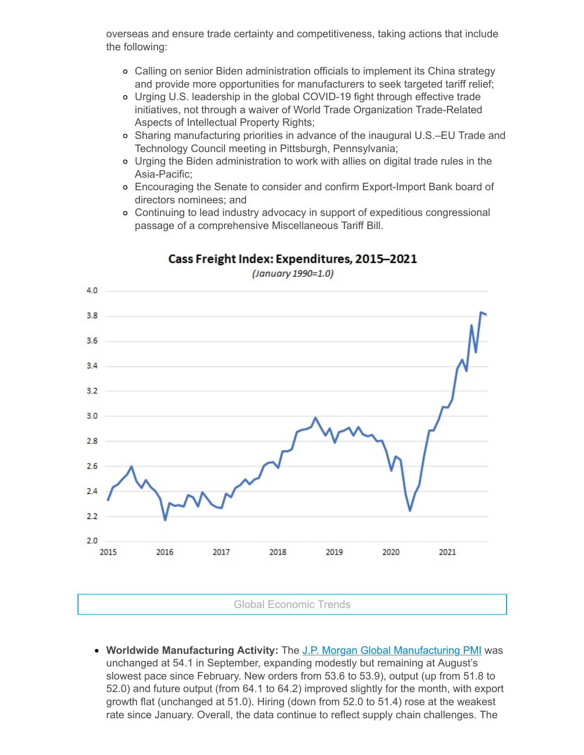overseas and ensure trade certainty and competitiveness, taking actions that include the following:

- Calling on senior Biden administration officials to implement its China strategy and provide more opportunities for manufacturers to seek targeted tariff relief;
- Urging U.S. leadership in the global COVID-19 fight through effective trade initiatives, not through a waiver of World Trade Organization Trade-Related Aspects of Intellectual Property Rights;
- o Sharing manufacturing priorities in advance of the inaugural U.S.–EU Trade and Technology Council meeting in Pittsburgh, Pennsylvania;
- Urging the Biden administration to work with allies on digital trade rules in the Asia-Pacific;
- Encouraging the Senate to consider and confirm Export-Import Bank board of directors nominees; and
- Continuing to lead industry advocacy in support of expeditious congressional passage of a comprehensive Miscellaneous Tariff Bill.



# Cass Freight Index: Expenditures, 2015-2021

(January 1990=1.0)

**Worldwide Manufacturing Activity:** The J.P. Morgan Global [Manufacturing](https://click.email.nam.org/?qs=bcdf478ca9f190b150d4dab87f3c63846bd5ae35737208037db241341cd99d99cdf0431ff45eded66f03bd57217dc6cd2c8d1b1fe941325d) PMI was unchanged at 54.1 in September, expanding modestly but remaining at August's slowest pace since February. New orders from 53.6 to 53.9), output (up from 51.8 to 52.0) and future output (from 64.1 to 64.2) improved slightly for the month, with export growth flat (unchanged at 51.0). Hiring (down from 52.0 to 51.4) rose at the weakest rate since January. Overall, the data continue to reflect supply chain challenges. The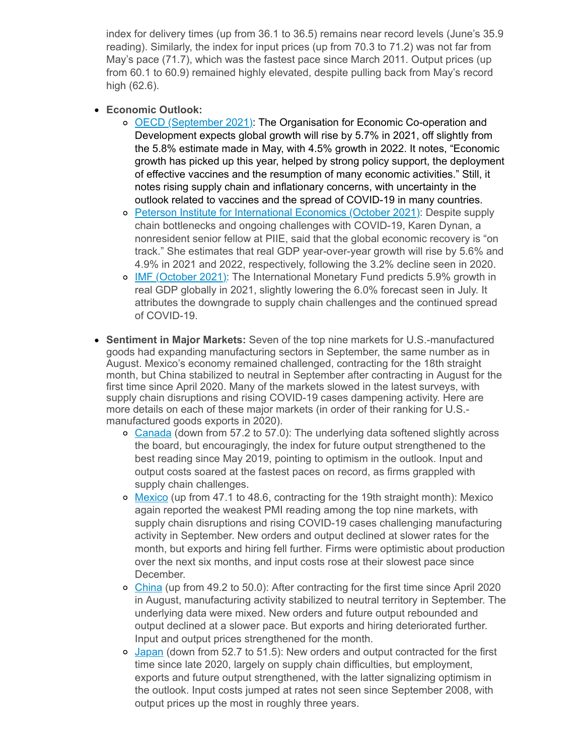index for delivery times (up from 36.1 to 36.5) remains near record levels (June's 35.9 reading). Similarly, the index for input prices (up from 70.3 to 71.2) was not far from May's pace (71.7), which was the fastest pace since March 2011. Output prices (up from 60.1 to 60.9) remained highly elevated, despite pulling back from May's record high (62.6).

- **Economic Outlook:**
	- OECD [\(September](https://click.email.nam.org/?qs=bcdf478ca9f190b12bfbc56f9235abd25c2b52eecdccdd0f4983ea44f2b5b0d213e0fff177ffbf360dc82c8088bc6872ec2b903ba6706879) 2021): The Organisation for Economic Co-operation and Development expects global growth will rise by 5.7% in 2021, off slightly from the 5.8% estimate made in May, with 4.5% growth in 2022. It notes, "Economic growth has picked up this year, helped by strong policy support, the deployment of effective vaccines and the resumption of many economic activities." Still, it notes rising supply chain and inflationary concerns, with uncertainty in the outlook related to vaccines and the spread of COVID-19 in many countries.
	- o Peterson Institute for [International](https://click.email.nam.org/?qs=bcdf478ca9f190b1099f30a82ca2733123050cd8a4452f18910a2b1ea7eb495e848f41a5c4f3409e9d619ef7dd33b97bf5da738566ea3a0e) Economics (October 2021): Despite supply chain bottlenecks and ongoing challenges with COVID-19, Karen Dynan, a nonresident senior fellow at PIIE, said that the global economic recovery is "on track." She estimates that real GDP year-over-year growth will rise by 5.6% and 4.9% in 2021 and 2022, respectively, following the 3.2% decline seen in 2020.
	- o **IMF [\(October](https://click.email.nam.org/?qs=bcdf478ca9f190b15626d902b1da019bff2833e76dcb95c053c5ae6f8e0110f111d1dfe400a35da3b16a8df180e45081f9b1b14b0e9bb96f) 2021): The International Monetary Fund predicts 5.9% growth in** real GDP globally in 2021, slightly lowering the 6.0% forecast seen in July. It attributes the downgrade to supply chain challenges and the continued spread of COVID-19.
- **Sentiment in Major Markets:** Seven of the top nine markets for U.S.-manufactured goods had expanding manufacturing sectors in September, the same number as in August. Mexico's economy remained challenged, contracting for the 18th straight month, but China stabilized to neutral in September after contracting in August for the first time since April 2020. Many of the markets slowed in the latest surveys, with supply chain disruptions and rising COVID-19 cases dampening activity. Here are more details on each of these major markets (in order of their ranking for U.S. manufactured goods exports in 2020).
	- o [Canada](https://click.email.nam.org/?qs=bcdf478ca9f190b179d1a9145ab44253ec7f2c4ee0b3c3695b92807daf8fad6a587ba6dd0104d48843e83ea7b2cd0674aed560bdfcbddb6a) (down from 57.2 to 57.0): The underlying data softened slightly across the board, but encouragingly, the index for future output strengthened to the best reading since May 2019, pointing to optimism in the outlook. Input and output costs soared at the fastest paces on record, as firms grappled with supply chain challenges.
	- o [Mexico](https://click.email.nam.org/?qs=bcdf478ca9f190b1493f758603c61e2648865a8f19afcfb14154d403ed9adf868c374335909708318f20966e0cbc9968ec1098d504b494ec) (up from 47.1 to 48.6, contracting for the 19th straight month): Mexico again reported the weakest PMI reading among the top nine markets, with supply chain disruptions and rising COVID-19 cases challenging manufacturing activity in September. New orders and output declined at slower rates for the month, but exports and hiring fell further. Firms were optimistic about production over the next six months, and input costs rose at their slowest pace since December.
	- [China](https://click.email.nam.org/?qs=bcdf478ca9f190b1864516e030d75e186ead107e1e55ded4873e2b0ae34bbc11d77d1014a2b33051eefc7d4fc06cadf4a7f7c25c7ca1c8e6) (up from 49.2 to 50.0): After contracting for the first time since April 2020 in August, manufacturing activity stabilized to neutral territory in September. The underlying data were mixed. New orders and future output rebounded and output declined at a slower pace. But exports and hiring deteriorated further. Input and output prices strengthened for the month.
	- o [Japan](https://click.email.nam.org/?qs=4e0f3de25eeb317aae93555f086dacb89cb42316ce8146f3e25a238e90e29d0e0eeb34546899842a711508142326223b76f0ef3d24dea309) (down from 52.7 to 51.5): New orders and output contracted for the first time since late 2020, largely on supply chain difficulties, but employment, exports and future output strengthened, with the latter signalizing optimism in the outlook. Input costs jumped at rates not seen since September 2008, with output prices up the most in roughly three years.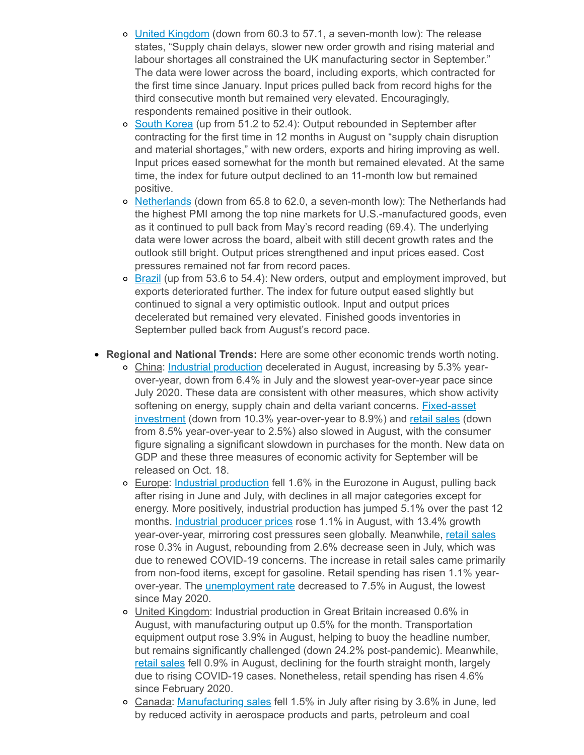- o United [Kingdom](https://click.email.nam.org/?qs=4e0f3de25eeb317a4700361708a92d5aa1de703a1aff2eb8b344550f167bc34184e53a73451c407bc238c3814b688025632c52cba12ae32a) (down from 60.3 to 57.1, a seven-month low): The release states, "Supply chain delays, slower new order growth and rising material and labour shortages all constrained the UK manufacturing sector in September." The data were lower across the board, including exports, which contracted for the first time since January. Input prices pulled back from record highs for the third consecutive month but remained very elevated. Encouragingly, respondents remained positive in their outlook.
- o South [Korea](https://click.email.nam.org/?qs=4e0f3de25eeb317a2815556698ec4869d0c53eb036c45be59e6d8e05e71f670376d88d5208d9d74d7a0156f2c45e0f18f8cf0753bd41b28b) (up from 51.2 to 52.4): Output rebounded in September after contracting for the first time in 12 months in August on "supply chain disruption and material shortages," with new orders, exports and hiring improving as well. Input prices eased somewhat for the month but remained elevated. At the same time, the index for future output declined to an 11-month low but remained positive.
- o [Netherlands](https://click.email.nam.org/?qs=4e0f3de25eeb317afc569584e4169bd5761a9dc3df06a6c2af5c071356e3689864068cf53f90434e07bc8af142291abc9c5301db0e30baea) (down from 65.8 to 62.0, a seven-month low): The Netherlands had the highest PMI among the top nine markets for U.S.-manufactured goods, even as it continued to pull back from May's record reading (69.4). The underlying data were lower across the board, albeit with still decent growth rates and the outlook still bright. Output prices strengthened and input prices eased. Cost pressures remained not far from record paces.
- $\circ$  [Brazil](https://click.email.nam.org/?qs=4e0f3de25eeb317ae58fec1f69d025668ed2afc9036a56b3f3ffc2d37d74a4e3765e7dba9f0a5db0bc3838474334137676272053d5bcd9d1) (up from 53.6 to 54.4): New orders, output and employment improved, but exports deteriorated further. The index for future output eased slightly but continued to signal a very optimistic outlook. Input and output prices decelerated but remained very elevated. Finished goods inventories in September pulled back from August's record pace.

# **Regional and National Trends:** Here are some other economic trends worth noting.

- China: Industrial [production](https://click.email.nam.org/?qs=4e0f3de25eeb317aed54977336145b54edfd02621993195c761104b4ce41eadd2375f94b064325bf0623ce53237d0ea070a475d83bd0360b) decelerated in August, increasing by 5.3% yearover-year, down from 6.4% in July and the slowest year-over-year pace since July 2020. These data are consistent with other measures, which show activity softening on energy, supply chain and delta variant concerns. **Fixed-asset** investment (down from 10.3% [year-over-year](https://click.email.nam.org/?qs=4e0f3de25eeb317a5cae781277a9228191a20f6ced31fa9dc7d4bfaeb0445500f4a3fb8296b9c196f5fe22dce0610b48f002e4fa66a860a1) to 8.9%) and retail [sales](https://click.email.nam.org/?qs=4e0f3de25eeb317afba2084532ce387c3e97f4e3a0e62d7e180b64b33002866c04c33e0f489d3e14f628dd9811fb30a1671bf35dbca3e962) (down from 8.5% year-over-year to 2.5%) also slowed in August, with the consumer figure signaling a significant slowdown in purchases for the month. New data on GDP and these three measures of economic activity for September will be released on Oct. 18.
- Europe: Industrial [production](https://click.email.nam.org/?qs=4e0f3de25eeb317a546f36bab7b588e3e59a48682d2c7efe9c9ff6a234902fa4a0f362b49ddd99c6f246878ada43b41ee01de9f1248aae4b) fell 1.6% in the Eurozone in August, pulling back after rising in June and July, with declines in all major categories except for energy. More positively, industrial production has jumped 5.1% over the past 12 months. [Industrial](https://click.email.nam.org/?qs=4e0f3de25eeb317a62a83a3dcdf64c3a967d2955e25d11150e99c87f1da11d8461ce5bb7970141bfe8a62a2d80500e688565a530bbfa5060) producer prices rose 1.1% in August, with 13.4% growth year-over-year, mirroring cost pressures seen globally. Meanwhile, retail [sales](https://click.email.nam.org/?qs=b55c1f8fc9bba4d4b0c08ef5118dc1ec141fdc0c11c171bc113df4b0c895ee9be642073534ab4a0bde699f6ee53af36b33d70caee790649e) rose 0.3% in August, rebounding from 2.6% decrease seen in July, which was due to renewed COVID-19 concerns. The increase in retail sales came primarily from non-food items, except for gasoline. Retail spending has risen 1.1% yearover-year. The *[unemployment](https://click.email.nam.org/?qs=b55c1f8fc9bba4d4d8661af827c46b0a228e43d6aff4a827c806f52962845acc0bbfda4a54c86be26284397e40db5d33fd08eae651b8ee30) rate* decreased to 7.5% in August, the lowest since May 2020.
- o United Kingdom: Industrial production in Great Britain increased 0.6% in August, with manufacturing output up 0.5% for the month. Transportation equipment output rose 3.9% in August, helping to buoy the headline number, but remains significantly challenged (down 24.2% post-pandemic). Meanwhile, retail [sales](https://click.email.nam.org/?qs=b55c1f8fc9bba4d4cb1130e23b6647741c93d80e1b004832207d05b188be0b24e8489c0bdae3d5b2a6c8e3c6f22cf698e92dbbfb3ee4a1cf) fell 0.9% in August, declining for the fourth straight month, largely due to rising COVID-19 cases. Nonetheless, retail spending has risen 4.6% since February 2020.
- Canada: [Manufacturing](https://click.email.nam.org/?qs=b55c1f8fc9bba4d4468aedee84c6073bfcf9fb7f878ed0df9e0d3ab2eac477184e93e07b07d3fa91feff363ba530e11cbbd672fe18033f78) sales fell 1.5% in July after rising by 3.6% in June, led by reduced activity in aerospace products and parts, petroleum and coal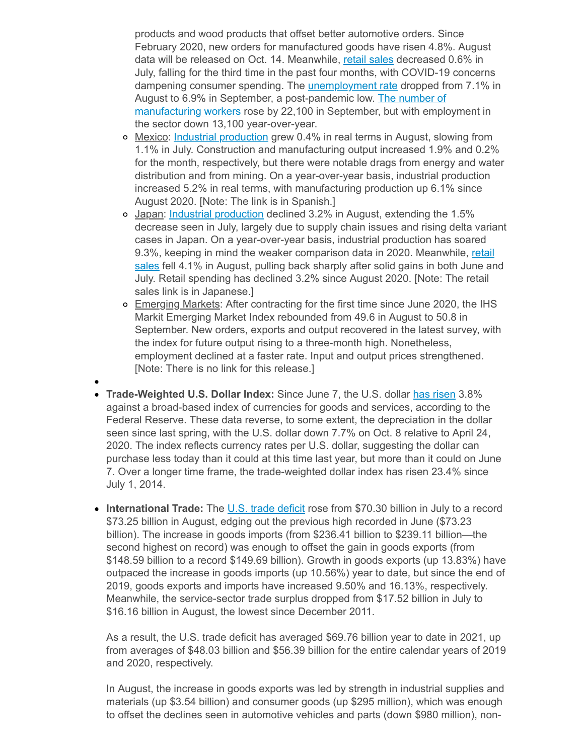products and wood products that offset better automotive orders. Since February 2020, new orders for manufactured goods have risen 4.8%. August data will be released on Oct. 14. Meanwhile, retail [sales](https://click.email.nam.org/?qs=b55c1f8fc9bba4d4c265732943d78cf2f7701768c017a4f70a3d9a8219409b369753ebdaec78bcb33d3a3b0b4ca5be7492aa68c98c37754f) decreased 0.6% in July, falling for the third time in the past four months, with COVID-19 concerns dampening consumer spending. The **[unemployment](https://click.email.nam.org/?qs=b55c1f8fc9bba4d4d10086c2650b823c04f3634d97a3bdfc76b74926dea93d420821bc796a8f630a53edfd78866e043d45dde7d6f1a8f680) rate dropped from 7.1%** in August to 6.9% in September, a [post-pandemic](https://click.email.nam.org/?qs=b55c1f8fc9bba4d4325a467796422b85027b3f2c68ca722354f50ca999165810274efaa254cde9f1a3c325e09b26c96017e3fe78f2abf267) low. The number of manufacturing workers rose by 22,100 in September, but with employment in the sector down 13,100 year-over-year.

- o Mexico: Industrial [production](https://click.email.nam.org/?qs=b55c1f8fc9bba4d492b67f17275aa20da296276ecc907466b0287c3f9ca599d485f1d7fdff1febf1ab8e014c98f2490dd326b7362a95100e) grew 0.4% in real terms in August, slowing from 1.1% in July. Construction and manufacturing output increased 1.9% and 0.2% for the month, respectively, but there were notable drags from energy and water distribution and from mining. On a year-over-year basis, industrial production increased 5.2% in real terms, with manufacturing production up 6.1% since August 2020. [Note: The link is in Spanish.]
- o Japan: Industrial [production](https://click.email.nam.org/?qs=b55c1f8fc9bba4d4e16d00993ab037b61fb384d8b461d97da1a3a6e687f9b6a1c25208ab42ea62ef9349d18e042d88c1dbb1548dc6f7922a) declined 3.2% in August, extending the 1.5% decrease seen in July, largely due to supply chain issues and rising delta variant cases in Japan. On a year-over-year basis, industrial production has soared 9.3%, keeping in mind the weaker [comparison](https://click.email.nam.org/?qs=b55c1f8fc9bba4d42e958d4f230b80a332ef553d96fae70ce75ce837a3c88f55a07510d4869255331b193a854eed99aa3edc7f143720b1f6) data in 2020. Meanwhile, retail sales fell 4.1% in August, pulling back sharply after solid gains in both June and July. Retail spending has declined 3.2% since August 2020. [Note: The retail sales link is in Japanese.]
- o Emerging Markets: After contracting for the first time since June 2020, the IHS Markit Emerging Market Index rebounded from 49.6 in August to 50.8 in September. New orders, exports and output recovered in the latest survey, with the index for future output rising to a three-month high. Nonetheless, employment declined at a faster rate. Input and output prices strengthened. [Note: There is no link for this release.]
- **Trade-Weighted U.S. Dollar Index:** Since June 7, the U.S. dollar has [risen](https://click.email.nam.org/?qs=bcdf478ca9f190b199ed25df9c35a89c09eb234e5eba72ad59c139d68e004cdc619b107d4d1cba025a1dfe4aa5428da49ddde9ebcd8a0398) 3.8% against a broad-based index of currencies for goods and services, according to the Federal Reserve. These data reverse, to some extent, the depreciation in the dollar seen since last spring, with the U.S. dollar down 7.7% on Oct. 8 relative to April 24, 2020. The index reflects currency rates per U.S. dollar, suggesting the dollar can purchase less today than it could at this time last year, but more than it could on June 7. Over a longer time frame, the trade-weighted dollar index has risen 23.4% since July 1, 2014.
- **International Trade:** The U.S. trade [deficit](https://click.email.nam.org/?qs=6dc4e6e834061bbe092c25f500398215f2f2e53c753f2dfaebd2144e0eecffd5092c6bdb63cd47d0f21b3a821eb8d2409da6731bf92535cf) rose from \$70.30 billion in July to a record \$73.25 billion in August, edging out the previous high recorded in June (\$73.23 billion). The increase in goods imports (from \$236.41 billion to \$239.11 billion—the second highest on record) was enough to offset the gain in goods exports (from \$148.59 billion to a record \$149.69 billion). Growth in goods exports (up 13.83%) have outpaced the increase in goods imports (up 10.56%) year to date, but since the end of 2019, goods exports and imports have increased 9.50% and 16.13%, respectively. Meanwhile, the service-sector trade surplus dropped from \$17.52 billion in July to \$16.16 billion in August, the lowest since December 2011.

As a result, the U.S. trade deficit has averaged \$69.76 billion year to date in 2021, up from averages of \$48.03 billion and \$56.39 billion for the entire calendar years of 2019 and 2020, respectively.

In August, the increase in goods exports was led by strength in industrial supplies and materials (up \$3.54 billion) and consumer goods (up \$295 million), which was enough to offset the declines seen in automotive vehicles and parts (down \$980 million), non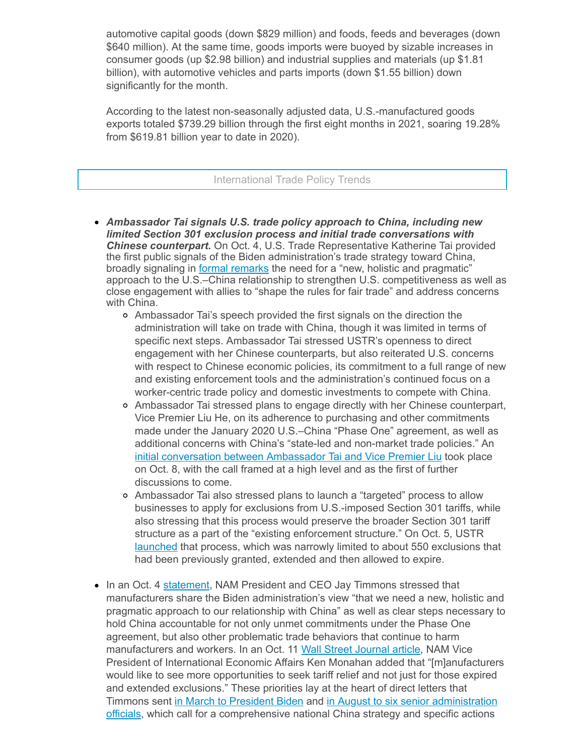automotive capital goods (down \$829 million) and foods, feeds and beverages (down \$640 million). At the same time, goods imports were buoyed by sizable increases in consumer goods (up \$2.98 billion) and industrial supplies and materials (up \$1.81 billion), with automotive vehicles and parts imports (down \$1.55 billion) down significantly for the month.

According to the latest non-seasonally adjusted data, U.S.-manufactured goods exports totaled \$739.29 billion through the first eight months in 2021, soaring 19.28% from \$619.81 billion year to date in 2020).

#### International Trade Policy Trends

- *Ambassador Tai signals U.S. trade policy approach to China, including new limited Section 301 exclusion process and initial trade conversations with Chinese counterpart.* On Oct. 4, U.S. Trade Representative Katherine Tai provided the first public signals of the Biden administration's trade strategy toward China, broadly signaling in formal [remarks](https://click.email.nam.org/?qs=6dc4e6e834061bbe6692cbd7a0700563d8772fa964a0232fb344ea099b600796cb8a2731964744fe3633016f3c085db28e83e1fbbc3dbc11) the need for a "new, holistic and pragmatic" approach to the U.S.–China relationship to strengthen U.S. competitiveness as well as close engagement with allies to "shape the rules for fair trade" and address concerns with China.
	- Ambassador Tai's speech provided the first signals on the direction the administration will take on trade with China, though it was limited in terms of specific next steps. Ambassador Tai stressed USTR's openness to direct engagement with her Chinese counterparts, but also reiterated U.S. concerns with respect to Chinese economic policies, its commitment to a full range of new and existing enforcement tools and the administration's continued focus on a worker-centric trade policy and domestic investments to compete with China.
	- Ambassador Tai stressed plans to engage directly with her Chinese counterpart, Vice Premier Liu He, on its adherence to purchasing and other commitments made under the January 2020 U.S.–China "Phase One" agreement, as well as additional concerns with China's "state-led and non-market trade policies." An initial [conversation](https://click.email.nam.org/?qs=6dc4e6e834061bbe3f663e671bcaaadf2260ebf8379784e515e0f233ad58f9adf62dd5f1437e4a43df560ac2aa87fbe84b370ea06c08dfa5) between Ambassador Tai and Vice Premier Liu took place on Oct. 8, with the call framed at a high level and as the first of further discussions to come.
	- Ambassador Tai also stressed plans to launch a "targeted" process to allow businesses to apply for exclusions from U.S.-imposed Section 301 tariffs, while also stressing that this process would preserve the broader Section 301 tariff structure as a part of the "existing enforcement structure." On Oct. 5, USTR [launched](https://click.email.nam.org/?qs=6dc4e6e834061bbea8b689d06771b195dae7de9a8aa5923be29465966c423d5585092d21bcb98f6f5bfaefe65cc05cebc667a2857d076eea) that process, which was narrowly limited to about 550 exclusions that had been previously granted, extended and then allowed to expire.
- In an Oct. 4 [statement,](https://click.email.nam.org/?qs=6dc4e6e834061bbee79c06d9976afc745bf8bf92eb50e68278ac3c7f302a71456542115974eb8dc6ae3144379f8273af0c5f6b101b68951b) NAM President and CEO Jay Timmons stressed that manufacturers share the Biden administration's view "that we need a new, holistic and pragmatic approach to our relationship with China" as well as clear steps necessary to hold China accountable for not only unmet commitments under the Phase One agreement, but also other problematic trade behaviors that continue to harm manufacturers and workers. In an Oct. 11 Wall Street [Journal](https://click.email.nam.org/?qs=6dc4e6e834061bbe76bf4ff70ba0cf5ad2a07be691f1e23767bbe031c73c438051d5fd5ab87dbce1283d8da912067eac4db0abb197e809fb) article, NAM Vice President of International Economic Affairs Ken Monahan added that "[m]anufacturers would like to see more opportunities to seek tariff relief and not just for those expired and extended exclusions." These priorities lay at the heart of direct letters that Timmons sent in March to [President](https://click.email.nam.org/?qs=6dc4e6e834061bbe1a1233348717e7f15094e38f8508b8adc7af1fc544be2da1d3ae393927ba1c88ecfdfedfd89fc450129c69a922957fa2) Biden and in August to six senior administration officials, which call for a [comprehensive](https://click.email.nam.org/?qs=6dc4e6e834061bbeb825b43d182b75d729318834b185daac59fa4b866ae48bbb9d6216582eb5b93e3fb8548c6cfd185544eb7f0fd18b9429) national China strategy and specific actions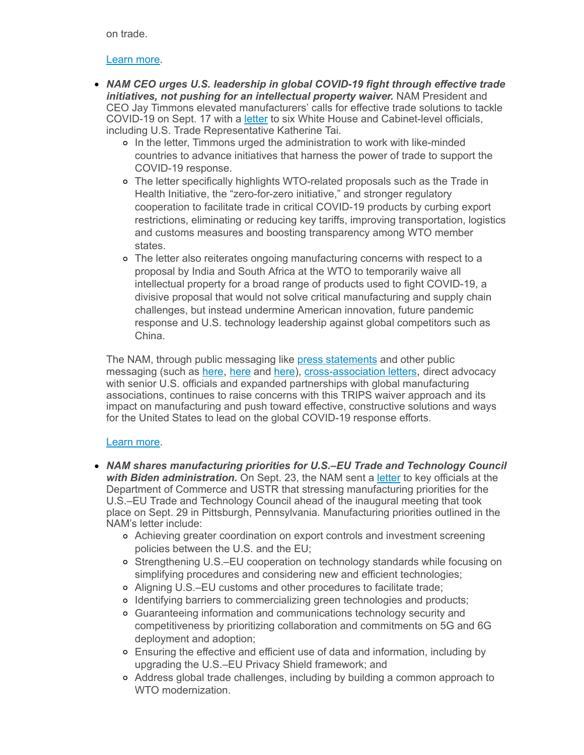on trade.

#### [Learn](mailto:rong@nam.org?subject=China) more.

- *NAM CEO urges U.S. leadership in global COVID-19 fight through effective trade initiatives, not pushing for an intellectual property waiver.* NAM President and CEO Jay Timmons elevated manufacturers' calls for effective trade solutions to tackle COVID-19 on Sept. 17 with a [letter](https://click.email.nam.org/?qs=6dc4e6e834061bbef9dc3e7e06abe85fb817fbf7f465a3ef60baf89d2d3822c1432e5aef5475d34f83a9ef2d323da25caa1d46215c9984e1) to six White House and Cabinet-level officials, including U.S. Trade Representative Katherine Tai.
	- In the letter, Timmons urged the administration to work with like-minded countries to advance initiatives that harness the power of trade to support the COVID-19 response.
	- The letter specifically highlights WTO-related proposals such as the Trade in Health Initiative, the "zero-for-zero initiative," and stronger regulatory cooperation to facilitate trade in critical COVID-19 products by curbing export restrictions, eliminating or reducing key tariffs, improving transportation, logistics and customs measures and boosting transparency among WTO member states.
	- The letter also reiterates ongoing manufacturing concerns with respect to a proposal by India and South Africa at the WTO to temporarily waive all intellectual property for a broad range of products used to fight COVID-19, a divisive proposal that would not solve critical manufacturing and supply chain challenges, but instead undermine American innovation, future pandemic response and U.S. technology leadership against global competitors such as China.

The NAM, through public messaging like press [statements](https://click.email.nam.org/?qs=6dc4e6e834061bbec4f2d1fe92dcf36536f7a1dec01cb56739ddc4ff08b13a7ae3ee57b76972e96a537b669f3cee7c372f96ecc54a075b3f) and other public messaging (such as [here](https://click.email.nam.org/?qs=f56bc47de2d2de34a0542c85da31dcaae75653801f196ff8e94ea456a23a423ec417cb7de0fb59abc0017ea7d0cf3847ad29b4cab6976182), here and [here\)](https://click.email.nam.org/?qs=6dc4e6e834061bbec4f2d1fe92dcf36536f7a1dec01cb56739ddc4ff08b13a7ae3ee57b76972e96a537b669f3cee7c372f96ecc54a075b3f), [cross-association](https://click.email.nam.org/?qs=f56bc47de2d2de34818e8dbab1cba181c0fe7656e04984f40b6cc06580e219a5c6c8593b51537baa0ded1cc9f495c4d9eaa7b6409e95a2f3) letters, direct advocacy with senior U.S. officials and expanded partnerships with global manufacturing associations, continues to raise concerns with this TRIPS waiver approach and its impact on manufacturing and push toward effective, constructive solutions and ways for the United States to lead on the global COVID-19 response efforts.

# [Learn](mailto:kmonahan@nam.org;rong@nam.org;msierra@nam.org?subject=WTO-TRIPS) more.

- *NAM shares manufacturing priorities for U.S.–EU Trade and Technology Council with Biden administration.* On Sept. 23, the NAM sent a [letter](https://click.email.nam.org/?qs=f56bc47de2d2de342f8a66ccf402efb49a9e11204e2d99e5f34da4e4447a4252e331d77a35218a46faf721ddb0b91657e0c3df35f64432dd) to key officials at the Department of Commerce and USTR that stressing manufacturing priorities for the U.S.–EU Trade and Technology Council ahead of the inaugural meeting that took place on Sept. 29 in Pittsburgh, Pennsylvania. Manufacturing priorities outlined in the NAM's letter include:
	- Achieving greater coordination on export controls and investment screening policies between the U.S. and the EU;
	- o Strengthening U.S.–EU cooperation on technology standards while focusing on simplifying procedures and considering new and efficient technologies;
	- Aligning U.S.–EU customs and other procedures to facilitate trade;
	- o Identifying barriers to commercializing green technologies and products;
	- Guaranteeing information and communications technology security and competitiveness by prioritizing collaboration and commitments on 5G and 6G deployment and adoption;
	- Ensuring the effective and efficient use of data and information, including by upgrading the U.S.–EU Privacy Shield framework; and
	- Address global trade challenges, including by building a common approach to WTO modernization.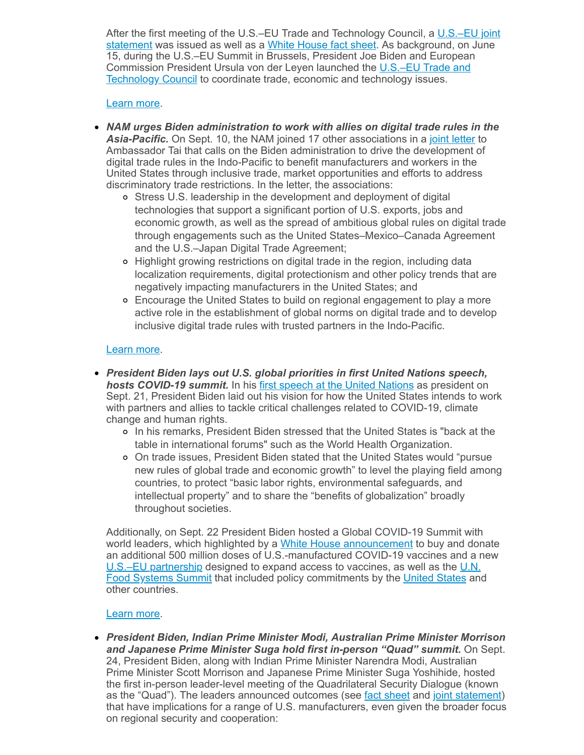After the first meeting of the U.S.–EU Trade and Technology Council, a U.S.–EU joint statement was issued as well as a White [House](https://click.email.nam.org/?qs=f56bc47de2d2de342fb7e3cc00eef19c933bf6663d5267b933c51c66d22895774b08ee509016fe5f3b283082bbd649ad8894cdba172f7dc5) fact sheet. As [background,](https://click.email.nam.org/?qs=f56bc47de2d2de347b4494b6cba92f2c44c9de6443fdb19f55a155ef6696e9fdaf2ea6e8bbf2e4d70d262d96152849eeb8ced514acd15e25) on June 15, during the U.S.–EU Summit in Brussels, President Joe Biden and European [Commission](https://click.email.nam.org/?qs=f56bc47de2d2de3495c04a33cbc3fe226f5e644867cf159913d66703eef5d139c7c423b22dce7a5f1f1598af44ae85f6d5a7f46f329a1398) President Ursula von der Leyen launched the U.S.–EU Trade and Technology Council to coordinate trade, economic and technology issues.

#### [Learn](mailto:msierra@nam.org?subject=U.S.-EU%20Trade%20and%20Technology%20Council) more.

- *NAM urges Biden administration to work with allies on digital trade rules in the* Asia-Pacific. On Sept. 10, the NAM joined 17 other associations in a joint [letter](https://click.email.nam.org/?qs=f56bc47de2d2de34f04ac5a13d64a8fe32b48763ad8865e1d48e75e3fb874e9b2109f9be7bca08fb3dd95118d03eb7cb45c4d0b183ff88f8) to Ambassador Tai that calls on the Biden administration to drive the development of digital trade rules in the Indo-Pacific to benefit manufacturers and workers in the United States through inclusive trade, market opportunities and efforts to address discriminatory trade restrictions. In the letter, the associations:
	- Stress U.S. leadership in the development and deployment of digital technologies that support a significant portion of U.S. exports, jobs and economic growth, as well as the spread of ambitious global rules on digital trade through engagements such as the United States–Mexico–Canada Agreement and the U.S.–Japan Digital Trade Agreement;
	- Highlight growing restrictions on digital trade in the region, including data localization requirements, digital protectionism and other policy trends that are negatively impacting manufacturers in the United States; and
	- Encourage the United States to build on regional engagement to play a more active role in the establishment of global norms on digital trade and to develop inclusive digital trade rules with trusted partners in the Indo-Pacific.

# [Learn](mailto:msierra@nam.org;rong@nam.org?subject=Asia-Pacific%20Digital%20Trade) more.

- *President Biden lays out U.S. global priorities in first United Nations speech, hosts COVID-19 summit.* In his first speech at the United [Nations](https://click.email.nam.org/?qs=f56bc47de2d2de341fe28fb73faadeb4978e147fc5a13ce726d2ae3df40123dfabc248559d13c2a5df8a1eea0658c8a17d3c1c69defa776d) as president on Sept. 21, President Biden laid out his vision for how the United States intends to work with partners and allies to tackle critical challenges related to COVID-19, climate change and human rights.
	- In his remarks, President Biden stressed that the United States is "back at the table in international forums" such as the World Health Organization.
	- On trade issues, President Biden stated that the United States would "pursue new rules of global trade and economic growth" to level the playing field among countries, to protect "basic labor rights, environmental safeguards, and intellectual property" and to share the "benefits of globalization" broadly throughout societies.

Additionally, on Sept. 22 President Biden hosted a Global COVID-19 Summit with world leaders, which highlighted by a White House [announcement](https://click.email.nam.org/?qs=f56bc47de2d2de347f16007a191123985bea64b95a4a56ba19f4c8bf9e02561f4932b65b38da76d372e683442c696699228260882f751a87) to buy and donate an additional 500 million doses of U.S.-manufactured COVID-19 vaccines and a new U.S.–EU [partnership](https://click.email.nam.org/?qs=f04af75c6d124763a050fcb1df7fc388867d93891aad0d4aa24ee5d02fbc2da10f4b1752fcd0a931db4ce1ca708f6e2762159a7241c8bc32) designed to expand access to vaccines, as well as the U.N. Food Systems Summit that included policy [commitments](https://click.email.nam.org/?qs=f04af75c6d124763695773097a877d312074fb6569ad17072b5e88790e99079d4aec05133fdb2f2b2adb21a7f19e219d966694727af1e0cb) by the United [States](https://click.email.nam.org/?qs=f04af75c6d1247635e0c43dc4154dac35bb3f64e0c98cbd9f115881ece99fbd864a740b8c97ebc8cbfd532dd54d36034225f1038b2efc761) and other countries.

#### [Learn](mailto:rong@nam.org?subject=UNGA%20and%20Multilateral%20Organizations) more.

*President Biden, Indian Prime Minister Modi, Australian Prime Minister Morrison and Japanese Prime Minister Suga hold first in-person "Quad" summit.* On Sept. 24, President Biden, along with Indian Prime Minister Narendra Modi, Australian Prime Minister Scott Morrison and Japanese Prime Minister Suga Yoshihide, hosted the first in-person leader-level meeting of the Quadrilateral Security Dialogue (known as the "Quad"). The leaders announced outcomes (see fact [sheet](https://click.email.nam.org/?qs=f04af75c6d124763b6235dfc951d651f41dc2053a693c2fff47d847e56a7a79b121b6b4cef92f79c90930927f2bbde0694d51c67de113359) and joint [statement\)](https://click.email.nam.org/?qs=f04af75c6d124763e67ff5a89a543d99792d9c914f34f5959e230f37f9385aa5e8a52911138f72906e62dd90aa7970326d6113d50fd90d74) that have implications for a range of U.S. manufacturers, even given the broader focus on regional security and cooperation: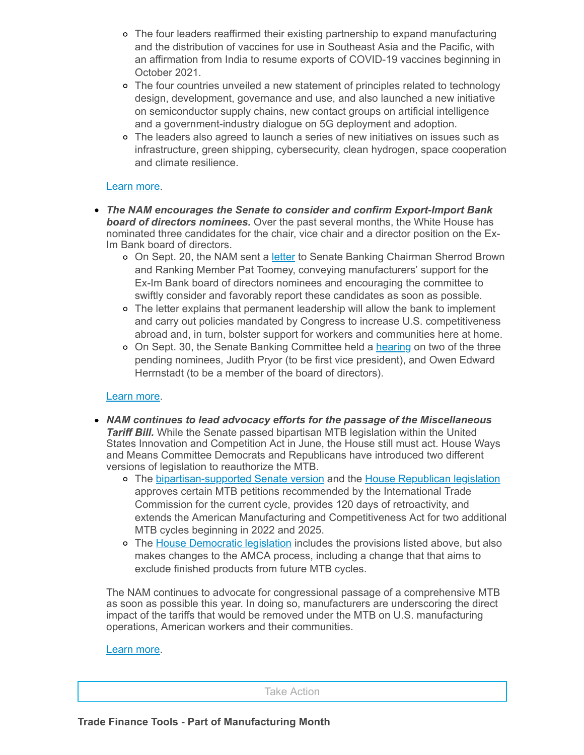- The four leaders reaffirmed their existing partnership to expand manufacturing and the distribution of vaccines for use in Southeast Asia and the Pacific, with an affirmation from India to resume exports of COVID-19 vaccines beginning in October 2021.
- The four countries unveiled a new statement of principles related to technology design, development, governance and use, and also launched a new initiative on semiconductor supply chains, new contact groups on artificial intelligence and a government-industry dialogue on 5G deployment and adoption.
- The leaders also agreed to launch a series of new initiatives on issues such as infrastructure, green shipping, cybersecurity, clean hydrogen, space cooperation and climate resilience.

#### [Learn](mailto:rong@nam.org?subject=Quad) more.

- *The NAM encourages the Senate to consider and confirm Export-Import Bank board of directors nominees.* Over the past several months, the White House has nominated three candidates for the chair, vice chair and a director position on the Ex-Im Bank board of directors.
	- o On Sept. 20, the NAM sent a [letter](https://click.email.nam.org/?qs=f04af75c6d124763bd438473e454805ebc3232d7ffecc548e0d1061149acd7e1c82a797b1cb58fa0a54981be243ebb7c49735a8f309294aa) to Senate Banking Chairman Sherrod Brown and Ranking Member Pat Toomey, conveying manufacturers' support for the Ex-Im Bank board of directors nominees and encouraging the committee to swiftly consider and favorably report these candidates as soon as possible.
	- The letter explains that permanent leadership will allow the bank to implement and carry out policies mandated by Congress to increase U.S. competitiveness abroad and, in turn, bolster support for workers and communities here at home.
	- o On Sept. 30, the Senate Banking Committee held a [hearing](https://click.email.nam.org/?qs=f04af75c6d124763d93f45a2b2cf0711e4db0753dc7a67eb57ada4d214de24d8eaba78d1274b04f72ce8c4e32df6a8041660168f283e3c29) on two of the three pending nominees, Judith Pryor (to be first vice president), and Owen Edward Herrnstadt (to be a member of the board of directors).

#### [Learn](mailto:aaafedt@nam.org?subject=Ex-Im%20Bank) more.

- *NAM continues to lead advocacy efforts for the passage of the Miscellaneous Tariff Bill.* While the Senate passed bipartisan MTB legislation within the United States Innovation and Competition Act in June, the House still must act. House Ways and Means Committee Democrats and Republicans have introduced two different versions of legislation to reauthorize the MTB.
	- o The [bipartisan-supported](https://click.email.nam.org/?qs=f04af75c6d124763a6418f99f2b9e98bec997f913984632ca61281ff7a68c1fd26587a8b170d4a28eb29d04e8c05fae80035eb20693d16a7) Senate version and the House [Republican](https://click.email.nam.org/?qs=f04af75c6d124763318035b377e231f7767764cf522bba40b02371312d25e624fc4bcdba76bac9bab8622c715b46054bf44d4bb919de7055) legislation approves certain MTB petitions recommended by the International Trade Commission for the current cycle, provides 120 days of retroactivity, and extends the American Manufacturing and Competitiveness Act for two additional MTB cycles beginning in 2022 and 2025.
	- o The House [Democratic](https://click.email.nam.org/?qs=f04af75c6d1247632d456d201253abcd3d6dbf4cafe05236ffcd3397bee9fd0b4ca9446628e8d3e3e539369314bcfe3398b83d2e74d9bcd0) legislation includes the provisions listed above, but also makes changes to the AMCA process, including a change that that aims to exclude finished products from future MTB cycles.

The NAM continues to advocate for congressional passage of a comprehensive MTB as soon as possible this year. In doing so, manufacturers are underscoring the direct impact of the tariffs that would be removed under the MTB on U.S. manufacturing operations, American workers and their communities.

#### [Learn](mailto:aaafedt@nam.org?subject=Miscellaneous%20Tariff%20Bill) more.

Take Action